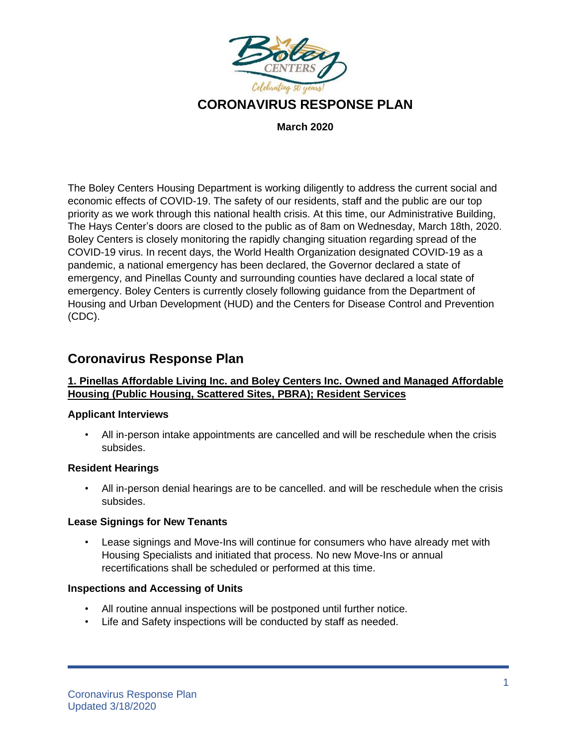

**March 2020**

The Boley Centers Housing Department is working diligently to address the current social and economic effects of COVID-19. The safety of our residents, staff and the public are our top priority as we work through this national health crisis. At this time, our Administrative Building, The Hays Center's doors are closed to the public as of 8am on Wednesday, March 18th, 2020. Boley Centers is closely monitoring the rapidly changing situation regarding spread of the COVID-19 virus. In recent days, the World Health Organization designated COVID-19 as a pandemic, a national emergency has been declared, the Governor declared a state of emergency, and Pinellas County and surrounding counties have declared a local state of emergency. Boley Centers is currently closely following guidance from the Department of Housing and Urban Development (HUD) and the Centers for Disease Control and Prevention (CDC).

# **Coronavirus Response Plan**

#### **1. Pinellas Affordable Living Inc. and Boley Centers Inc. Owned and Managed Affordable Housing (Public Housing, Scattered Sites, PBRA); Resident Services**

#### **Applicant Interviews**

• All in-person intake appointments are cancelled and will be reschedule when the crisis subsides.

#### **Resident Hearings**

• All in-person denial hearings are to be cancelled. and will be reschedule when the crisis subsides.

#### **Lease Signings for New Tenants**

• Lease signings and Move-Ins will continue for consumers who have already met with Housing Specialists and initiated that process. No new Move-Ins or annual recertifications shall be scheduled or performed at this time.

#### **Inspections and Accessing of Units**

- All routine annual inspections will be postponed until further notice.
- Life and Safety inspections will be conducted by staff as needed.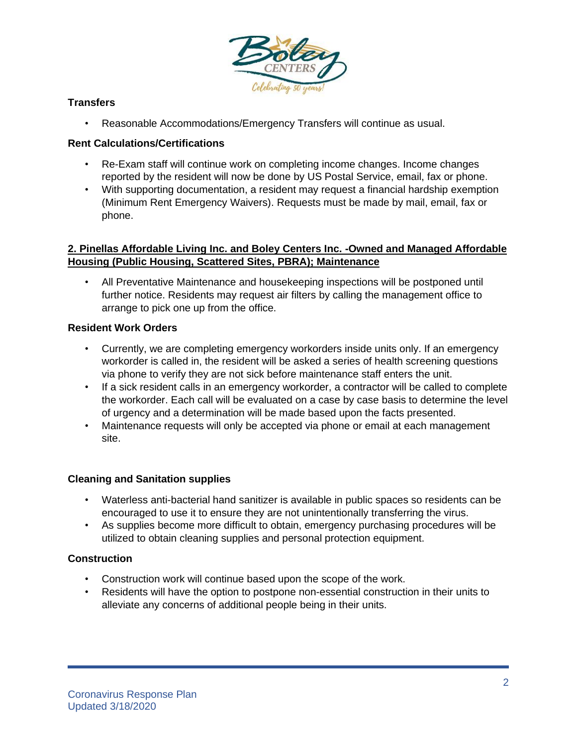

# **Transfers**

• Reasonable Accommodations/Emergency Transfers will continue as usual.

#### **Rent Calculations/Certifications**

- Re-Exam staff will continue work on completing income changes. Income changes reported by the resident will now be done by US Postal Service, email, fax or phone.
- With supporting documentation, a resident may request a financial hardship exemption (Minimum Rent Emergency Waivers). Requests must be made by mail, email, fax or phone.

### **2. Pinellas Affordable Living Inc. and Boley Centers Inc. -Owned and Managed Affordable Housing (Public Housing, Scattered Sites, PBRA); Maintenance**

• All Preventative Maintenance and housekeeping inspections will be postponed until further notice. Residents may request air filters by calling the management office to arrange to pick one up from the office.

#### **Resident Work Orders**

- Currently, we are completing emergency workorders inside units only. If an emergency workorder is called in, the resident will be asked a series of health screening questions via phone to verify they are not sick before maintenance staff enters the unit.
- If a sick resident calls in an emergency workorder, a contractor will be called to complete the workorder. Each call will be evaluated on a case by case basis to determine the level of urgency and a determination will be made based upon the facts presented.
- Maintenance requests will only be accepted via phone or email at each management site.

#### **Cleaning and Sanitation supplies**

- Waterless anti-bacterial hand sanitizer is available in public spaces so residents can be encouraged to use it to ensure they are not unintentionally transferring the virus.
- As supplies become more difficult to obtain, emergency purchasing procedures will be utilized to obtain cleaning supplies and personal protection equipment.

# **Construction**

- Construction work will continue based upon the scope of the work.
- Residents will have the option to postpone non-essential construction in their units to alleviate any concerns of additional people being in their units.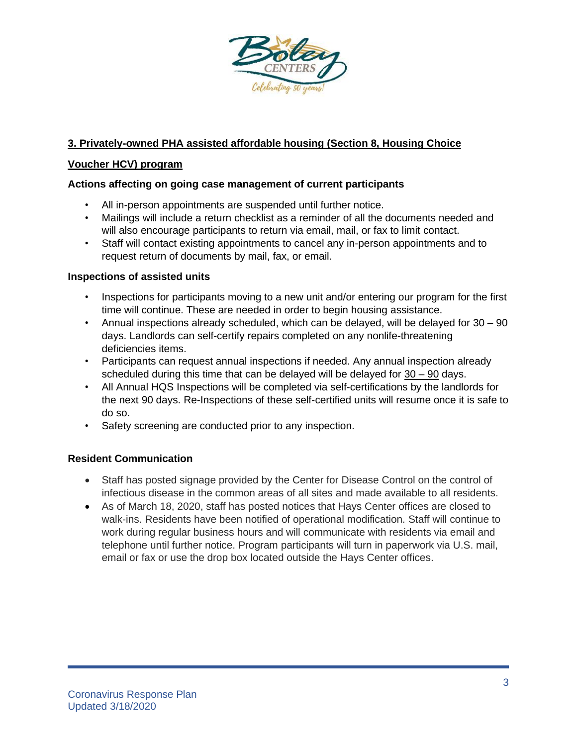

# **3. Privately-owned PHA assisted affordable housing (Section 8, Housing Choice**

# **Voucher HCV) program**

# **Actions affecting on going case management of current participants**

- All in-person appointments are suspended until further notice.
- Mailings will include a return checklist as a reminder of all the documents needed and will also encourage participants to return via email, mail, or fax to limit contact.
- Staff will contact existing appointments to cancel any in-person appointments and to request return of documents by mail, fax, or email.

# **Inspections of assisted units**

- Inspections for participants moving to a new unit and/or entering our program for the first time will continue. These are needed in order to begin housing assistance.
- Annual inspections already scheduled, which can be delayed, will be delayed for 30 90 days. Landlords can self-certify repairs completed on any nonlife-threatening deficiencies items.
- Participants can request annual inspections if needed. Any annual inspection already scheduled during this time that can be delayed will be delayed for 30 – 90 days.
- All Annual HQS Inspections will be completed via self-certifications by the landlords for the next 90 days. Re-Inspections of these self-certified units will resume once it is safe to do so.
- Safety screening are conducted prior to any inspection.

# **Resident Communication**

- Staff has posted signage provided by the Center for Disease Control on the control of infectious disease in the common areas of all sites and made available to all residents.
- As of March 18, 2020, staff has posted notices that Hays Center offices are closed to walk-ins. Residents have been notified of operational modification. Staff will continue to work during regular business hours and will communicate with residents via email and telephone until further notice. Program participants will turn in paperwork via U.S. mail, email or fax or use the drop box located outside the Hays Center offices.